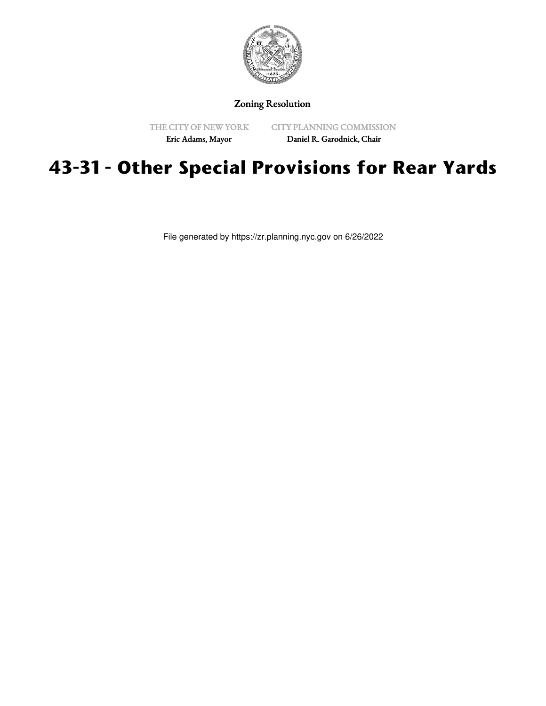

## Zoning Resolution

THE CITY OF NEW YORK

CITY PLANNING COMMISSION

Eric Adams, Mayor

Daniel R. Garodnick, Chair

# **43-31 - Other Special Provisions for Rear Yards**

File generated by https://zr.planning.nyc.gov on 6/26/2022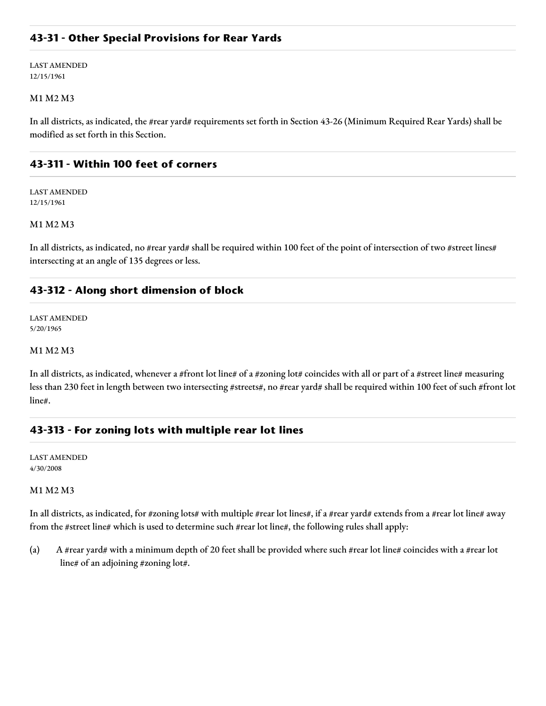## **43-31 - Other Special Provisions for Rear Yards**

LAST AMENDED 12/15/1961

### M1 M2 M3

In all districts, as indicated, the #rear yard# requirements set forth in Section 43-26 (Minimum Required Rear Yards) shall be modified as set forth in this Section.

## **43-311 - Within 100 feet of corners**

LAST AMENDED 12/15/1961

## M1 M2 M3

In all districts, as indicated, no #rear yard# shall be required within 100 feet of the point of intersection of two #street lines# intersecting at an angle of 135 degrees or less.

## **43-312 - Along short dimension of block**

LAST AMENDED 5/20/1965

#### M1 M2 M3

In all districts, as indicated, whenever a #front lot line# of a #zoning lot# coincides with all or part of a #street line# measuring less than 230 feet in length between two intersecting #streets#, no #rear yard# shall be required within 100 feet of such #front lot line#.

# **43-313 - For zoning lots with multiple rear lot lines**

LAST AMENDED 4/30/2008

#### M1 M2 M3

In all districts, as indicated, for #zoning lots# with multiple #rear lot lines#, if a #rear yard# extends from a #rear lot line# away from the #street line# which is used to determine such #rear lot line#, the following rules shall apply:

(a) A #rear yard# with a minimum depth of 20 feet shall be provided where such #rear lot line# coincides with a #rear lot line# of an adjoining #zoning lot#.